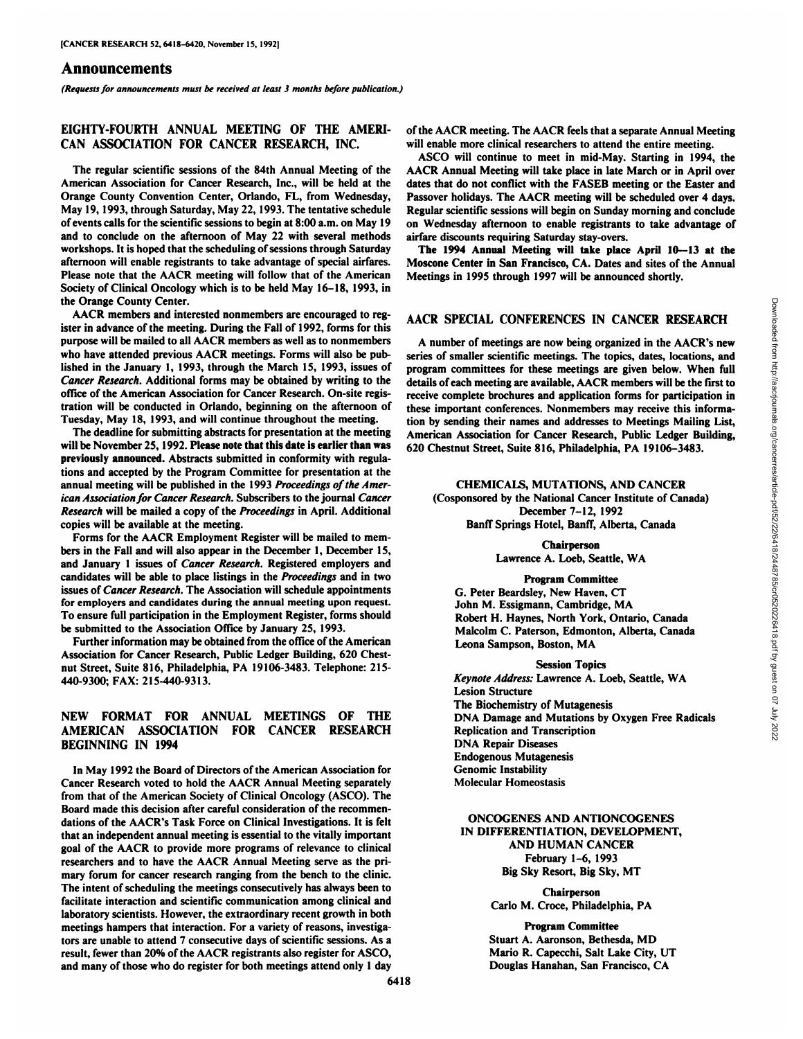## Announcements

*(Requests for announcements must be received at least 3 months before publication.)*

## EIGHTY-FOURTH ANNUAL MEETING OF THE AMERI CAN ASSOCIATION FOR CANCER RESEARCH, INC.

The regular scientific sessions of the 84th Annual Meeting of the American Association for Cancer Research, Inc., will be held at the Orange County Convention Center, Orlando, FL, from Wednesday, May 19, 1993, through Saturday, May 22, 1993. The tentative schedule of events calls for the scientific sessions to begin at 8:00 a.m. on May 19 and to conclude on the afternoon of May 22 with several methods workshops. It is hoped that the scheduling of sessions through Saturday afternoon will enable registrants to take advantage of special airfares. Please note that the AACR meeting will follow that of the American Society of Clinical Oncology which is to be held May 16-18, 1993, in the Orange County Center.

AACR members and interested nonmembers are encouraged to reg ister in advance of the meeting. During the Fall of 1992, forms for this purpose will be mailed to all AACR members as well as to nonmembers who have attended previous AACR meetings. Forms will also be pub lished in the January I, 1993, through the March 15, 1993, issues of *Cancer Research. Additional forms may be obtained by writing to the* office of the American Association for Cancer Research. On-site regis tration will be conducted in Orlando, beginning on the afternoon of Tuesday, May 18, 1993, and will continue throughout the meeting.

The deadline for submitting abstracts for presentation at the meeting will be November 25, 1992. Please note that this date is earlier than was previously announced. Abstracts submitted in conformity with regula tions and accepted by the Program Committee for presentation at the annual meeting will be published in the 1993 Proceedings of the Amer*ican Association for Cancer Research. Subscribers to the journal Cancer Research* will be mailed a copy of the *Proceedings* in April. Additional copies will be available at the meeting.

Forms for the AACR Employment Register will be mailed to mem bers in the Fall and will also appear in the December 1, December 15, and January 1 issues of Cancer Research. Registered employers and candidates will be able to place listings in the Proceedings and in two issues of Cancer Research. The Association will schedule appointments for employers and candidates during the annual meeting upon request. To ensure full participation in the Employment Register, forms should be submitted to the Association Office by January 25, 1993.

Further information may be obtained from the office of the American Association for Cancer Research, Public Ledger Building, 620 Chest nut Street, Suite 816, Philadelphia, PA 19106-3483. Telephone: 215- 440-9300; FAX: 215-440-9313.

## NEW FORMAT FOR ANNUAL MEETINGS OF THE AMERICAN ASSOCIATION FOR CANCER RESEARCH BEGINNING IN 1994

In May 1992 the Board of Directors of the American Association for Cancer Research voted to hold the AACR Annual Meeting separately from that of the American Society of Clinical Oncology (ASCO). The Board made this decision after careful consideration of the recommen dations of the AACR's Task Force on Clinical Investigations. It is felt that an independent annual meeting is essential to the vitally important goal of the AACR to provide more programs of relevance to clinical researchers and to have the AACR Annual Meeting serve as the pri mary forum for cancer research ranging from the bench to the clinic. The intent of scheduling the meetings consecutively has always been to facilitate interaction and scientific communication among clinical and laboratory scientists. However, the extraordinary recent growth in both meetings hampers that interaction. For a variety of reasons, investigators are unable to attend 7 consecutive days of scientific sessions. As a result, fewer than 20% of the AACR registrants also register for ASCO, and many of those who do register for both meetings attend only 1 day

of the AACR meeting. The AACR feels that a separate Annual Meeting will enable more clinical researchers to attend the entire meeting.

ASCO will continue to meet in mid-May. Starting in 1994, the AACR Annual Meeting will take place in late March or in April over dates that do not conflict with the FASEB meeting or the Easter and Passover holidays. The AACR meeting will be scheduled over 4 days. Regular scientific sessions will begin on Sunday morning and conclude on Wednesday afternoon to enable registrants to take advantage of airfare discounts requiring Saturday stay-overs.

The 1994 Annual Meeting will take place April 10—13at the Moscone Center in San Francisco, CA. Dates and sites of the Annual Meetings in 1995 through 1997 will be announced shortly.

AACR SPECIAL CONFERENCES IN CANCER RESEARCH<br>
A number of meetings are now being organized in the AACR's new<br>
series of smaller scientific meetings. The topics, dates, locations, and<br>
program committees for these meetings A number of meetings are now being organized in the AACR's new series of smaller scientific meetings. The topics, dates, locations, and program committees for these meetings are given below. When full details of each meeting are available, AACR members will be the first to receive complete brochures and application forms for participation in these important conferences. Nonmembers may receive this informa tion by sending their names and addresses to Meetings Mailing List, American Association for Cancer Research, Public Ledger Building, 620 Chestnut Street, Suite 816, Philadelphia, PA 19106-3483.

**CHEMICALS, MUTATIONS, AND CANCER** (Cosponsored by the National Cancer Institute of Canada) December 7-12, 1992 Banff Springs Hotel, Banff, Alberta, Canada

> Chairperson Lawrence A.Loeb, Seattle, WA

#### Program Committee

G. Peter Beardsley, New Haven, CT John M. Essigmann, Cambridge, MA Robert H. Haynes, North York, Ontario, Canada Malcolm C. Paterson, Edmonton, Alberta, Canada Leona Sampson, Boston, MA

#### Session Topics

*Keynote Address: Lawrence A.Loeb, Seattle, WA* Lesion Structure The Biochemistry of Mutagenesis DNA Damage and Mutations by Oxygen Free Radicals Replication and Transcription DNA Repair Diseases Endogenous Mutagenesis Genomic Instability Molecular Homeostasis

**ONCOGENES AND ANTIONCOGENES IN DIFFERENTIATION, DEVELOPMENT, AND HUMAN CANCER** February 1-6, 1993 Big Sky Resort, Big Sky, MT

> Chairperson Carlo M. Croce, Philadelphia, PA

Program Committee Stuart A. Aaronson, Bethesda, MD Mario R. Capecchi, Salt Lake City, UT Douglas Hanahan, San Francisco, CA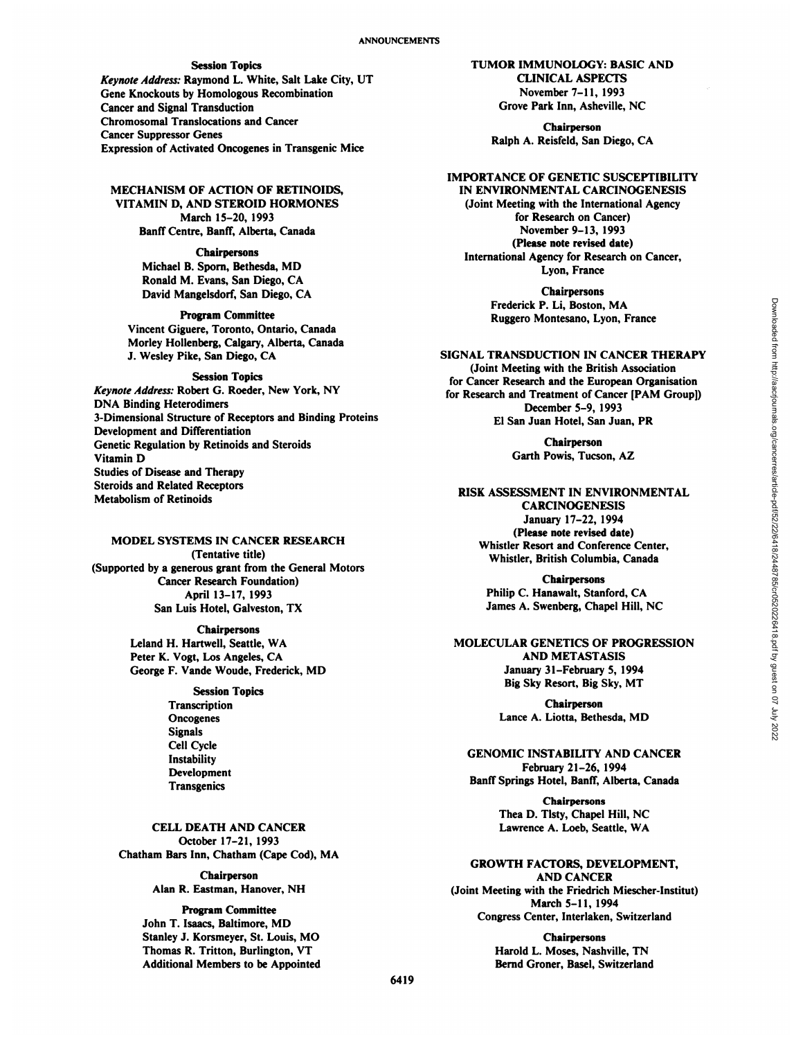## Session Topics

*Keynote Address: Raymond L. White, Salt Lake City, UT* Gene Knockouts by Homologous Recombination Cancer and Signal Transduction Chromosomal Translocations and Cancer Cancer Suppressor Genes Expression of Activated Oncogenes in Transgenic Mice

**MECHANISM OF ACTION OF RETINOIDS, VITAMIN D, AND STEROID HORMONES** March 15-20, 1993 Banff Centre, Banff, Alberta, Canada

### Chairpersons

Michael B. Sporn, Bethesda, MD Ronald M. Evans, San Diego, CA David Mangelsdorf, San Diego, CA

#### Program Committee

Vincent Giguere, Toronto, Ontario, Canada Morley Hollenberg, Calgary, Alberta, Canada J. Wesley Pike, San Diego, CA

## Session Topics

*Keynote Address: Robert G. Roeder, New York, NY* DNA Binding Heterodimers 3-Dimensional Structure of Receptors and Binding Proteins Development and Differentiation Genetic Regulation by Retinoids and Steroids Vitamin D Studies of Disease and Therapy Steroids and Related Receptors Metabolism of Retinoids

# MODEL SYSTEMS IN CANCER RESEARCH (Tentative title) (Supported by a generous grant from the General Motors Cancer Research Foundation) April 13-17, 1993

San Luis Hotel, Galveston, TX

Chairpersons Leland H. Hartwell, Seattle, WA Peter K. Vogt, Los Angeles, CA George F. Vande Woude, Frederick, MD

> Session Topics **Transcription** Oncogenes Signals Cell Cycle Instability Development **Transgenics**

**CELL DEATH AND CANCER** October 17-21, 1993 Chatham Bars Inn, Chatham (Cape Cod), MA

> Chairperson Alan R. Eastman, Hanover, NH

Program Committee John T. Isaacs, Baltimore, MD Stanley J. Korsmeyer, St. Louis, MO Thomas R. Tritton, Burlington, VT Additional Members to be Appointed **TUMOR IMMUNOLOGY: BASIC AND CLINICAL ASPECTS** November 7-11, 1993 Grove Park Inn, Asheville, NC

Chairperson Ralph A. Reisfeld, San Diego, CA

## **IMPORTANCE OF GENETIC SUSCEPTIBILITY**

IN ENVIRONMENTAL CARCINOGENESIS (Joint Meeting with the International Agency for Research on Cancer) November 9-13, 1993 (Please note revised date) International Agency for Research on Cancer, Lyon, France

> **Chairpersons** Frederick P. Li, Boston, MA Ruggero Montesano, Lyon, France

## **SIGNAL TRANSDUCTION IN CANCER THERAPY**

(Joint Meeting with the British Association for Cancer Research and the European Organisation for Research and Treatment of Cancer [PAM Group]) December 5-9, 1993 El San Juan Hotel, San Juan, PR

> Chairperson Garth Powis, Tucson, AZ

RISK ASSESSMENT IN ENVIRONMENTAL CARCINOGENESIS January 17-22, 1994 (Please note revised date) Whistler Resort and Conference Center, Whistler, British Columbia, Canada

> Chairpersons Philip C. Hanawalt, Stanford, CA James A. Swenberg, Chapel Hill, NC

## MOLECULAR GENETICS OF PROGRESSION AND METASTASIS January 31-February 5, 1994 Big Sky Resort, Big Sky, MT

Chairperson Lance A.Liotta, Bethesda, MD

# **GENOMIC INSTABILITY AND CANCER** February 21-26, 1994

Banff Springs Hotel, Banff, Alberta, Canada

**Chairpersons** Thea D.Tlsty, Chapel Hill, NC Lawrence A. Loeb, Seattle, WA

# **GROWTH FACTORS, DEVELOPMENT,**

**AND CANCER** (Joint Meeting with the Friedrich Miescher-Institut) March 5-11, 1994 Congress Center, Interlaken, Switzerland

> Chairpersons Harold L. Moses, Nashville, TN Bernd Groner, Basel, Switzerland